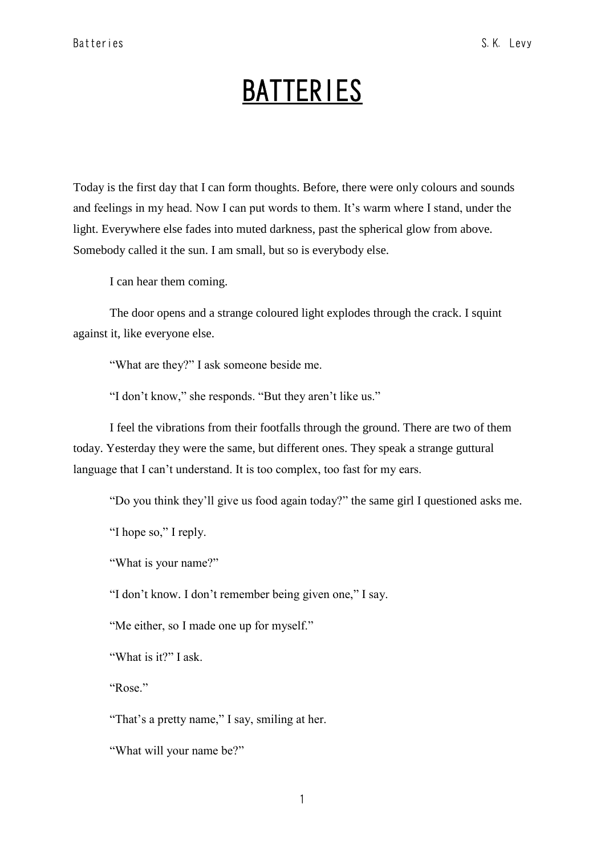## **BATTERIES**

Today is the first day that I can form thoughts. Before, there were only colours and sounds and feelings in my head. Now I can put words to them. It's warm where I stand, under the light. Everywhere else fades into muted darkness, past the spherical glow from above. Somebody called it the sun. I am small, but so is everybody else.

I can hear them coming.

The door opens and a strange coloured light explodes through the crack. I squint against it, like everyone else.

"What are they?" I ask someone beside me.

"I don't know," she responds. "But they aren't like us."

I feel the vibrations from their footfalls through the ground. There are two of them today. Yesterday they were the same, but different ones. They speak a strange guttural language that I can't understand. It is too complex, too fast for my ears.

"Do you think they'll give us food again today?" the same girl I questioned asks me.

"I hope so," I reply.

"What is your name?"

"I don't know. I don't remember being given one," I say.

"Me either, so I made one up for myself."

"What is it?" I ask.

"Rose."

"That's a pretty name," I say, smiling at her.

"What will your name be?"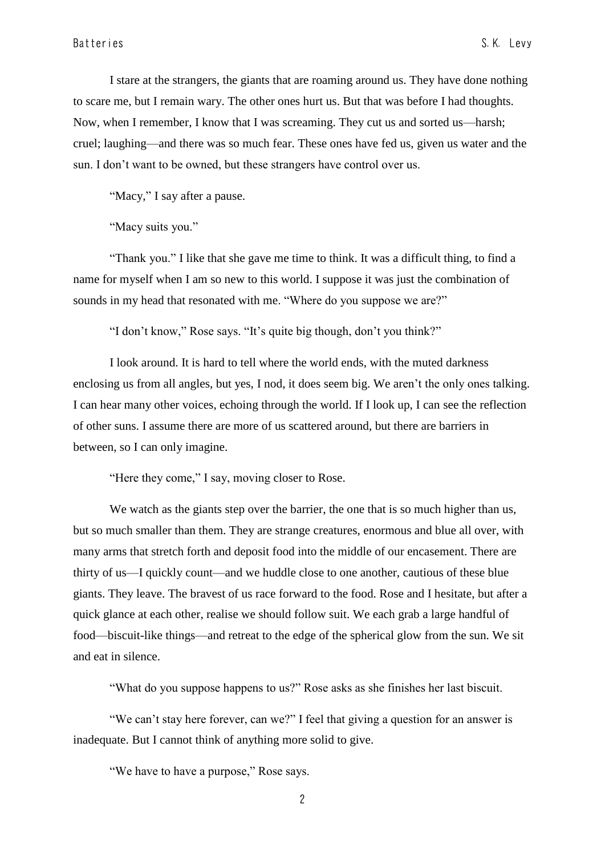I stare at the strangers, the giants that are roaming around us. They have done nothing to scare me, but I remain wary. The other ones hurt us. But that was before I had thoughts. Now, when I remember, I know that I was screaming. They cut us and sorted us—harsh; cruel; laughing—and there was so much fear. These ones have fed us, given us water and the sun. I don't want to be owned, but these strangers have control over us.

"Macy," I say after a pause.

"Macy suits you."

"Thank you." I like that she gave me time to think. It was a difficult thing, to find a name for myself when I am so new to this world. I suppose it was just the combination of sounds in my head that resonated with me. "Where do you suppose we are?"

"I don't know," Rose says. "It's quite big though, don't you think?"

I look around. It is hard to tell where the world ends, with the muted darkness enclosing us from all angles, but yes, I nod, it does seem big. We aren't the only ones talking. I can hear many other voices, echoing through the world. If I look up, I can see the reflection of other suns. I assume there are more of us scattered around, but there are barriers in between, so I can only imagine.

"Here they come," I say, moving closer to Rose.

We watch as the giants step over the barrier, the one that is so much higher than us, but so much smaller than them. They are strange creatures, enormous and blue all over, with many arms that stretch forth and deposit food into the middle of our encasement. There are thirty of us—I quickly count—and we huddle close to one another, cautious of these blue giants. They leave. The bravest of us race forward to the food. Rose and I hesitate, but after a quick glance at each other, realise we should follow suit. We each grab a large handful of food—biscuit-like things—and retreat to the edge of the spherical glow from the sun. We sit and eat in silence.

"What do you suppose happens to us?" Rose asks as she finishes her last biscuit.

"We can't stay here forever, can we?" I feel that giving a question for an answer is inadequate. But I cannot think of anything more solid to give.

"We have to have a purpose," Rose says.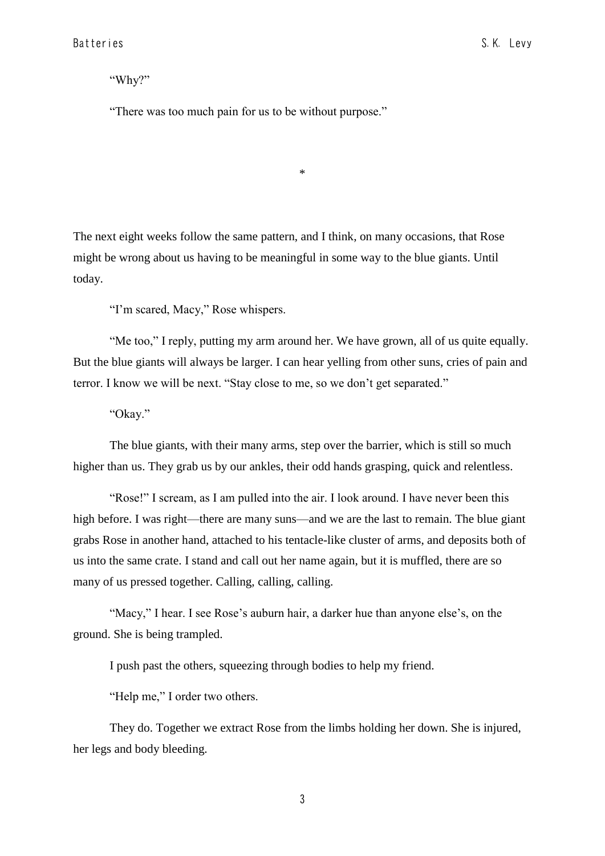"Why?"

"There was too much pain for us to be without purpose."

The next eight weeks follow the same pattern, and I think, on many occasions, that Rose might be wrong about us having to be meaningful in some way to the blue giants. Until today.

\*

"I'm scared, Macy," Rose whispers.

"Me too," I reply, putting my arm around her. We have grown, all of us quite equally. But the blue giants will always be larger. I can hear yelling from other suns, cries of pain and terror. I know we will be next. "Stay close to me, so we don't get separated."

"Okay."

The blue giants, with their many arms, step over the barrier, which is still so much higher than us. They grab us by our ankles, their odd hands grasping, quick and relentless.

"Rose!" I scream, as I am pulled into the air. I look around. I have never been this high before. I was right—there are many suns—and we are the last to remain. The blue giant grabs Rose in another hand, attached to his tentacle-like cluster of arms, and deposits both of us into the same crate. I stand and call out her name again, but it is muffled, there are so many of us pressed together. Calling, calling, calling.

"Macy," I hear. I see Rose's auburn hair, a darker hue than anyone else's, on the ground. She is being trampled.

I push past the others, squeezing through bodies to help my friend.

"Help me," I order two others.

They do. Together we extract Rose from the limbs holding her down. She is injured, her legs and body bleeding.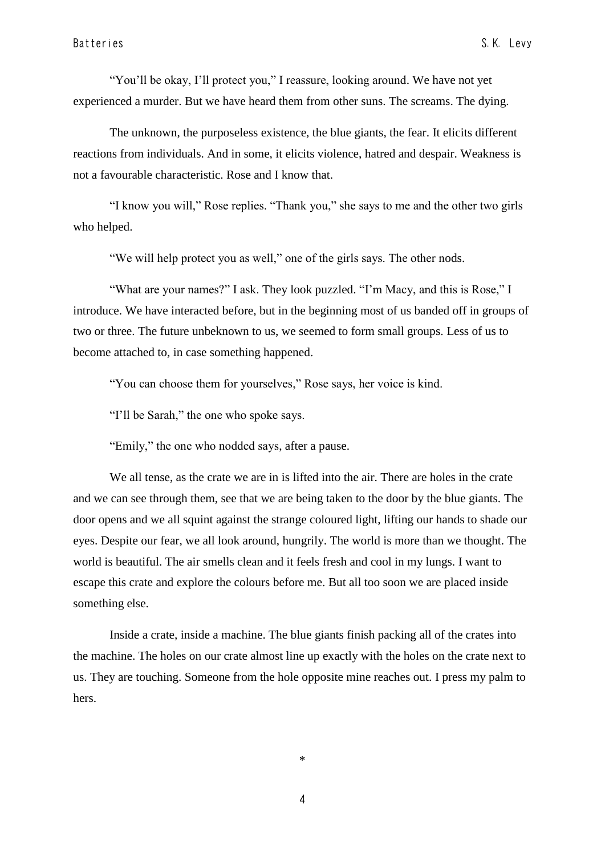"You'll be okay, I'll protect you," I reassure, looking around. We have not yet experienced a murder. But we have heard them from other suns. The screams. The dying.

The unknown, the purposeless existence, the blue giants, the fear. It elicits different reactions from individuals. And in some, it elicits violence, hatred and despair. Weakness is not a favourable characteristic. Rose and I know that.

"I know you will," Rose replies. "Thank you," she says to me and the other two girls who helped.

"We will help protect you as well," one of the girls says. The other nods.

"What are your names?" I ask. They look puzzled. "I'm Macy, and this is Rose," I introduce. We have interacted before, but in the beginning most of us banded off in groups of two or three. The future unbeknown to us, we seemed to form small groups. Less of us to become attached to, in case something happened.

"You can choose them for yourselves," Rose says, her voice is kind.

"I'll be Sarah," the one who spoke says.

"Emily," the one who nodded says, after a pause.

We all tense, as the crate we are in is lifted into the air. There are holes in the crate and we can see through them, see that we are being taken to the door by the blue giants. The door opens and we all squint against the strange coloured light, lifting our hands to shade our eyes. Despite our fear, we all look around, hungrily. The world is more than we thought. The world is beautiful. The air smells clean and it feels fresh and cool in my lungs. I want to escape this crate and explore the colours before me. But all too soon we are placed inside something else.

Inside a crate, inside a machine. The blue giants finish packing all of the crates into the machine. The holes on our crate almost line up exactly with the holes on the crate next to us. They are touching. Someone from the hole opposite mine reaches out. I press my palm to hers.

\*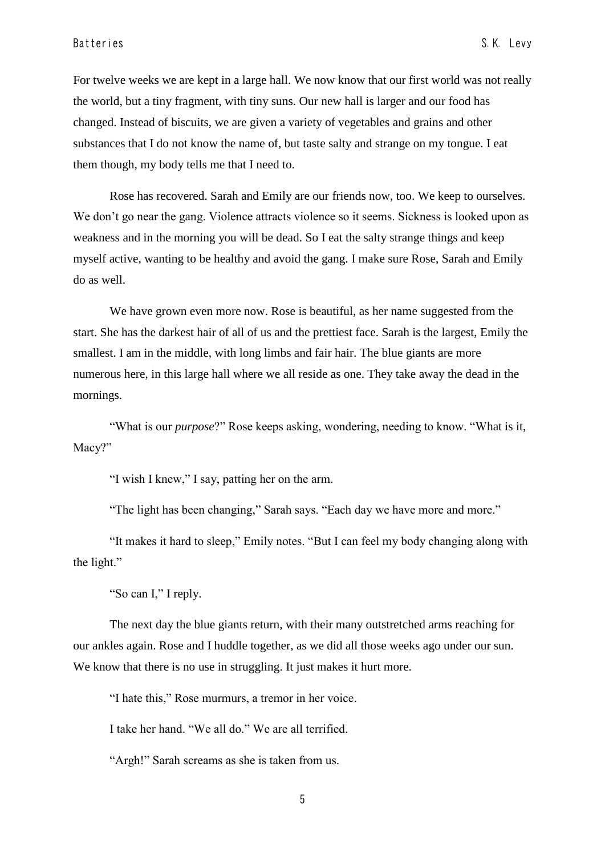For twelve weeks we are kept in a large hall. We now know that our first world was not really the world, but a tiny fragment, with tiny suns. Our new hall is larger and our food has changed. Instead of biscuits, we are given a variety of vegetables and grains and other substances that I do not know the name of, but taste salty and strange on my tongue. I eat them though, my body tells me that I need to.

Rose has recovered. Sarah and Emily are our friends now, too. We keep to ourselves. We don't go near the gang. Violence attracts violence so it seems. Sickness is looked upon as weakness and in the morning you will be dead. So I eat the salty strange things and keep myself active, wanting to be healthy and avoid the gang. I make sure Rose, Sarah and Emily do as well.

We have grown even more now. Rose is beautiful, as her name suggested from the start. She has the darkest hair of all of us and the prettiest face. Sarah is the largest, Emily the smallest. I am in the middle, with long limbs and fair hair. The blue giants are more numerous here, in this large hall where we all reside as one. They take away the dead in the mornings.

"What is our *purpose*?" Rose keeps asking, wondering, needing to know. "What is it, Macy?"

"I wish I knew," I say, patting her on the arm.

"The light has been changing," Sarah says. "Each day we have more and more."

"It makes it hard to sleep," Emily notes. "But I can feel my body changing along with the light."

"So can I," I reply.

The next day the blue giants return, with their many outstretched arms reaching for our ankles again. Rose and I huddle together, as we did all those weeks ago under our sun. We know that there is no use in struggling. It just makes it hurt more.

"I hate this," Rose murmurs, a tremor in her voice.

I take her hand. "We all do." We are all terrified.

"Argh!" Sarah screams as she is taken from us.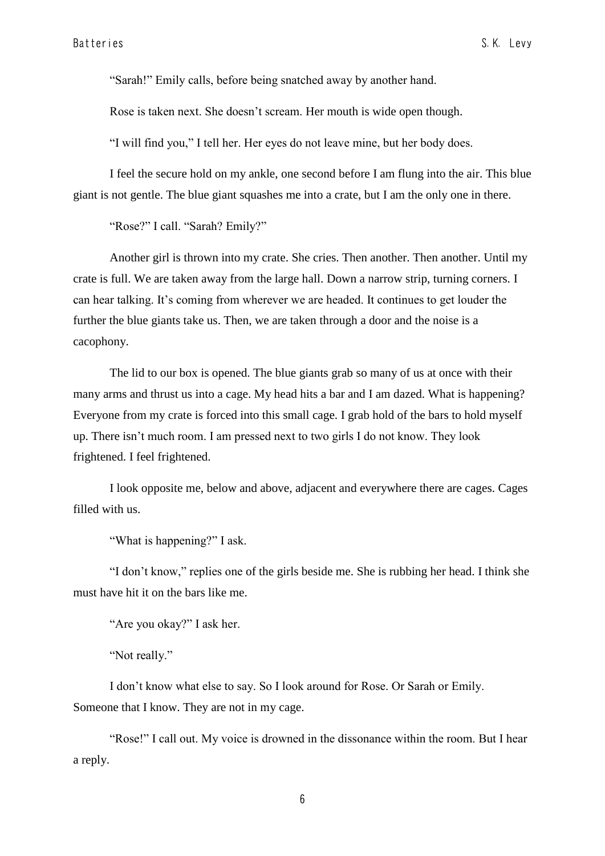"Sarah!" Emily calls, before being snatched away by another hand.

Rose is taken next. She doesn't scream. Her mouth is wide open though.

"I will find you," I tell her. Her eyes do not leave mine, but her body does.

I feel the secure hold on my ankle, one second before I am flung into the air. This blue giant is not gentle. The blue giant squashes me into a crate, but I am the only one in there.

"Rose?" I call. "Sarah? Emily?"

Another girl is thrown into my crate. She cries. Then another. Then another. Until my crate is full. We are taken away from the large hall. Down a narrow strip, turning corners. I can hear talking. It's coming from wherever we are headed. It continues to get louder the further the blue giants take us. Then, we are taken through a door and the noise is a cacophony.

The lid to our box is opened. The blue giants grab so many of us at once with their many arms and thrust us into a cage. My head hits a bar and I am dazed. What is happening? Everyone from my crate is forced into this small cage. I grab hold of the bars to hold myself up. There isn't much room. I am pressed next to two girls I do not know. They look frightened. I feel frightened.

I look opposite me, below and above, adjacent and everywhere there are cages. Cages filled with us.

"What is happening?" I ask.

"I don't know," replies one of the girls beside me. She is rubbing her head. I think she must have hit it on the bars like me.

"Are you okay?" I ask her.

"Not really."

I don't know what else to say. So I look around for Rose. Or Sarah or Emily. Someone that I know. They are not in my cage.

"Rose!" I call out. My voice is drowned in the dissonance within the room. But I hear a reply.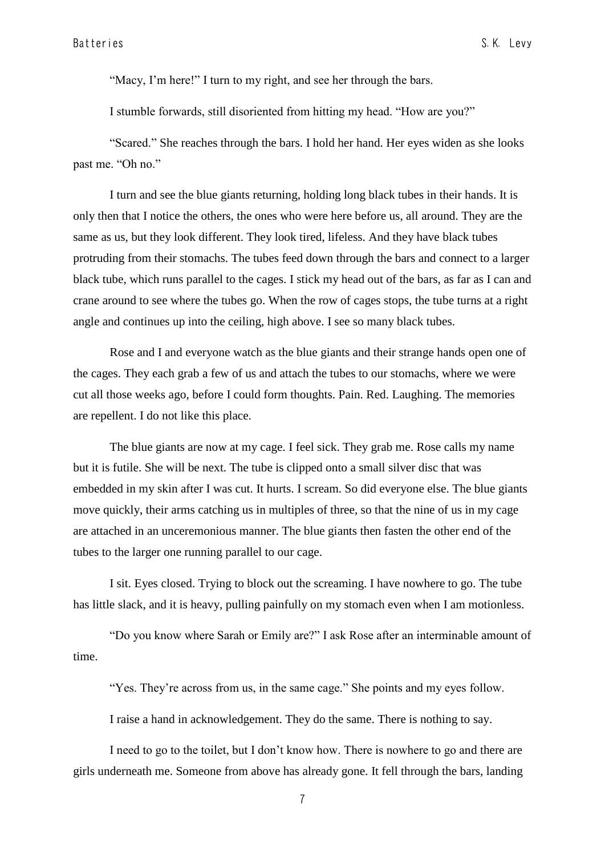"Macy, I'm here!" I turn to my right, and see her through the bars.

I stumble forwards, still disoriented from hitting my head. "How are you?"

"Scared." She reaches through the bars. I hold her hand. Her eyes widen as she looks past me. "Oh no."

I turn and see the blue giants returning, holding long black tubes in their hands. It is only then that I notice the others, the ones who were here before us, all around. They are the same as us, but they look different. They look tired, lifeless. And they have black tubes protruding from their stomachs. The tubes feed down through the bars and connect to a larger black tube, which runs parallel to the cages. I stick my head out of the bars, as far as I can and crane around to see where the tubes go. When the row of cages stops, the tube turns at a right angle and continues up into the ceiling, high above. I see so many black tubes.

Rose and I and everyone watch as the blue giants and their strange hands open one of the cages. They each grab a few of us and attach the tubes to our stomachs, where we were cut all those weeks ago, before I could form thoughts. Pain. Red. Laughing. The memories are repellent. I do not like this place.

The blue giants are now at my cage. I feel sick. They grab me. Rose calls my name but it is futile. She will be next. The tube is clipped onto a small silver disc that was embedded in my skin after I was cut. It hurts. I scream. So did everyone else. The blue giants move quickly, their arms catching us in multiples of three, so that the nine of us in my cage are attached in an unceremonious manner. The blue giants then fasten the other end of the tubes to the larger one running parallel to our cage.

I sit. Eyes closed. Trying to block out the screaming. I have nowhere to go. The tube has little slack, and it is heavy, pulling painfully on my stomach even when I am motionless.

"Do you know where Sarah or Emily are?" I ask Rose after an interminable amount of time.

"Yes. They're across from us, in the same cage." She points and my eyes follow.

I raise a hand in acknowledgement. They do the same. There is nothing to say.

I need to go to the toilet, but I don't know how. There is nowhere to go and there are girls underneath me. Someone from above has already gone. It fell through the bars, landing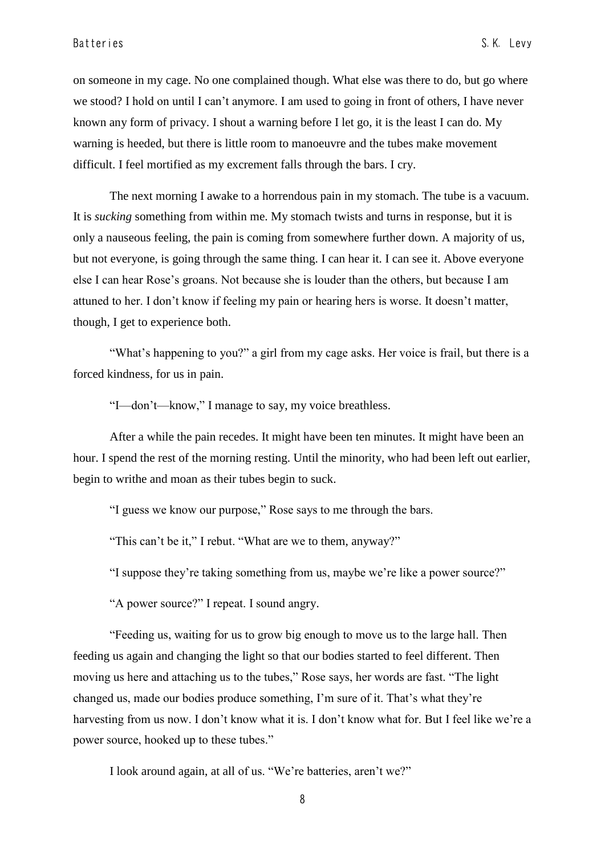on someone in my cage. No one complained though. What else was there to do, but go where we stood? I hold on until I can't anymore. I am used to going in front of others, I have never known any form of privacy. I shout a warning before I let go, it is the least I can do. My warning is heeded, but there is little room to manoeuvre and the tubes make movement difficult. I feel mortified as my excrement falls through the bars. I cry.

The next morning I awake to a horrendous pain in my stomach. The tube is a vacuum. It is *sucking* something from within me. My stomach twists and turns in response, but it is only a nauseous feeling, the pain is coming from somewhere further down. A majority of us, but not everyone, is going through the same thing. I can hear it. I can see it. Above everyone else I can hear Rose's groans. Not because she is louder than the others, but because I am attuned to her. I don't know if feeling my pain or hearing hers is worse. It doesn't matter, though, I get to experience both.

"What's happening to you?" a girl from my cage asks. Her voice is frail, but there is a forced kindness, for us in pain.

"I—don't—know," I manage to say, my voice breathless.

After a while the pain recedes. It might have been ten minutes. It might have been an hour. I spend the rest of the morning resting. Until the minority, who had been left out earlier, begin to writhe and moan as their tubes begin to suck.

"I guess we know our purpose," Rose says to me through the bars.

"This can't be it," I rebut. "What are we to them, anyway?"

"I suppose they're taking something from us, maybe we're like a power source?"

"A power source?" I repeat. I sound angry.

"Feeding us, waiting for us to grow big enough to move us to the large hall. Then feeding us again and changing the light so that our bodies started to feel different. Then moving us here and attaching us to the tubes," Rose says, her words are fast. "The light changed us, made our bodies produce something, I'm sure of it. That's what they're harvesting from us now. I don't know what it is. I don't know what for. But I feel like we're a power source, hooked up to these tubes."

I look around again, at all of us. "We're batteries, aren't we?"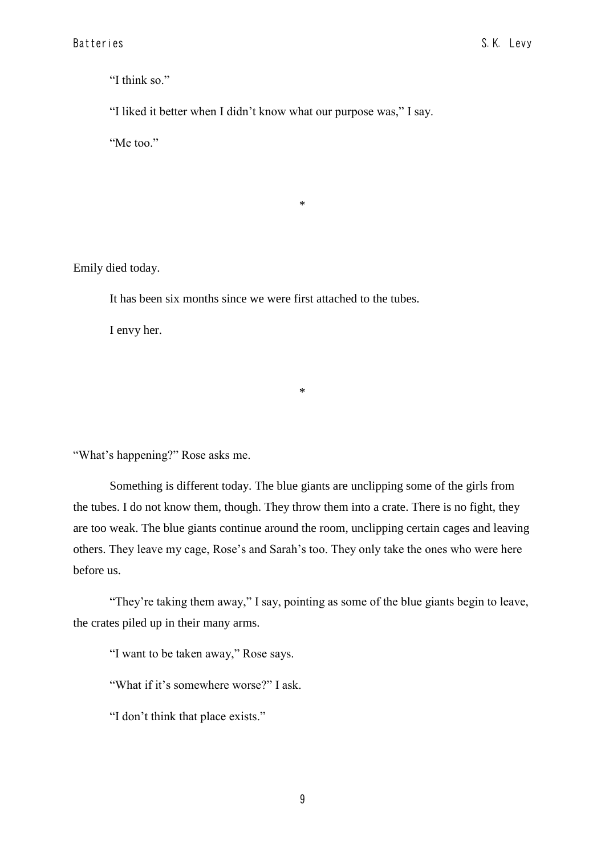"I think so."

"I liked it better when I didn't know what our purpose was," I say.

\*

"Me too."

Emily died today.

It has been six months since we were first attached to the tubes.

I envy her.

"What's happening?" Rose asks me.

Something is different today. The blue giants are unclipping some of the girls from the tubes. I do not know them, though. They throw them into a crate. There is no fight, they are too weak. The blue giants continue around the room, unclipping certain cages and leaving others. They leave my cage, Rose's and Sarah's too. They only take the ones who were here before us.

\*

"They're taking them away," I say, pointing as some of the blue giants begin to leave, the crates piled up in their many arms.

"I want to be taken away," Rose says.

"What if it's somewhere worse?" I ask.

"I don't think that place exists."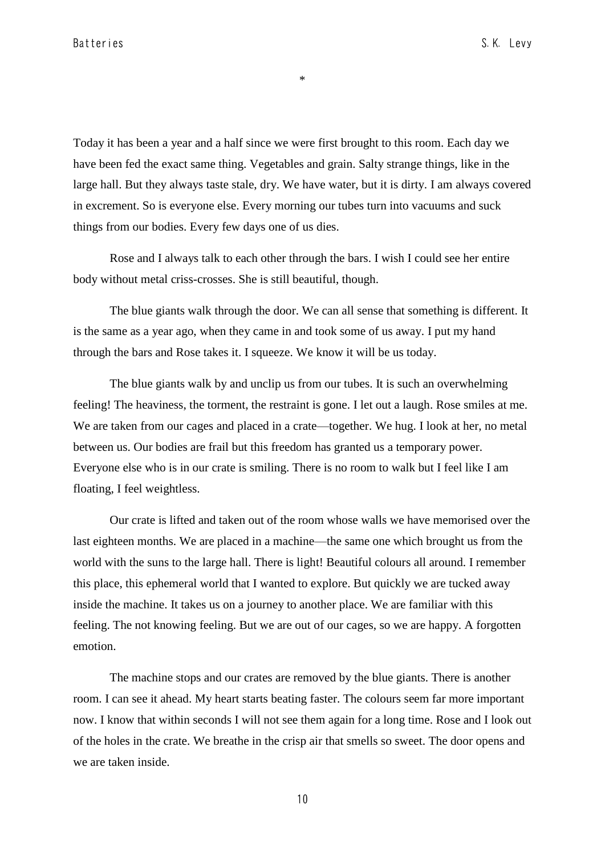\*

Today it has been a year and a half since we were first brought to this room. Each day we have been fed the exact same thing. Vegetables and grain. Salty strange things, like in the large hall. But they always taste stale, dry. We have water, but it is dirty. I am always covered in excrement. So is everyone else. Every morning our tubes turn into vacuums and suck things from our bodies. Every few days one of us dies.

Rose and I always talk to each other through the bars. I wish I could see her entire body without metal criss-crosses. She is still beautiful, though.

The blue giants walk through the door. We can all sense that something is different. It is the same as a year ago, when they came in and took some of us away. I put my hand through the bars and Rose takes it. I squeeze. We know it will be us today.

The blue giants walk by and unclip us from our tubes. It is such an overwhelming feeling! The heaviness, the torment, the restraint is gone. I let out a laugh. Rose smiles at me. We are taken from our cages and placed in a crate—together. We hug. I look at her, no metal between us. Our bodies are frail but this freedom has granted us a temporary power. Everyone else who is in our crate is smiling. There is no room to walk but I feel like I am floating, I feel weightless.

Our crate is lifted and taken out of the room whose walls we have memorised over the last eighteen months. We are placed in a machine—the same one which brought us from the world with the suns to the large hall. There is light! Beautiful colours all around. I remember this place, this ephemeral world that I wanted to explore. But quickly we are tucked away inside the machine. It takes us on a journey to another place. We are familiar with this feeling. The not knowing feeling. But we are out of our cages, so we are happy. A forgotten emotion.

The machine stops and our crates are removed by the blue giants. There is another room. I can see it ahead. My heart starts beating faster. The colours seem far more important now. I know that within seconds I will not see them again for a long time. Rose and I look out of the holes in the crate. We breathe in the crisp air that smells so sweet. The door opens and we are taken inside.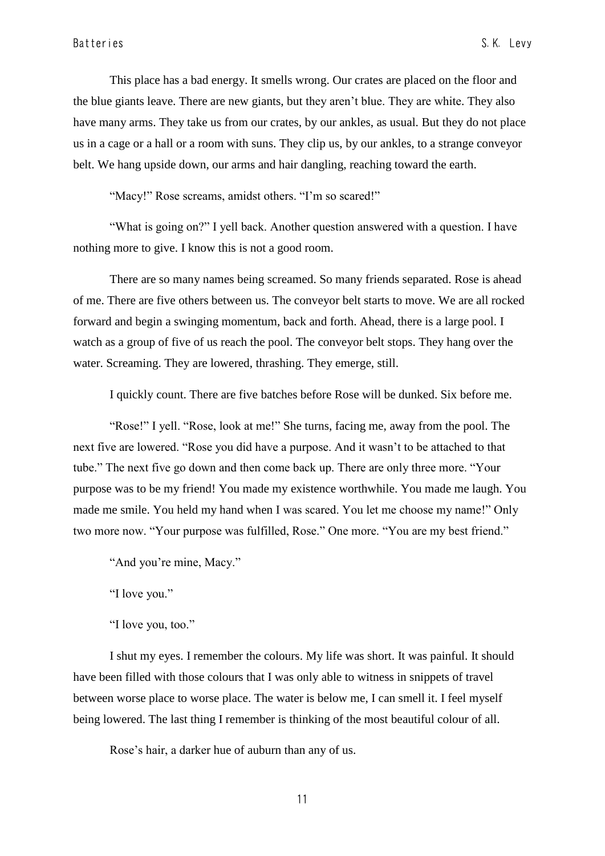This place has a bad energy. It smells wrong. Our crates are placed on the floor and the blue giants leave. There are new giants, but they aren't blue. They are white. They also have many arms. They take us from our crates, by our ankles, as usual. But they do not place us in a cage or a hall or a room with suns. They clip us, by our ankles, to a strange conveyor belt. We hang upside down, our arms and hair dangling, reaching toward the earth.

"Macy!" Rose screams, amidst others. "I'm so scared!"

"What is going on?" I yell back. Another question answered with a question. I have nothing more to give. I know this is not a good room.

There are so many names being screamed. So many friends separated. Rose is ahead of me. There are five others between us. The conveyor belt starts to move. We are all rocked forward and begin a swinging momentum, back and forth. Ahead, there is a large pool. I watch as a group of five of us reach the pool. The conveyor belt stops. They hang over the water. Screaming. They are lowered, thrashing. They emerge, still.

I quickly count. There are five batches before Rose will be dunked. Six before me.

"Rose!" I yell. "Rose, look at me!" She turns, facing me, away from the pool. The next five are lowered. "Rose you did have a purpose. And it wasn't to be attached to that tube." The next five go down and then come back up. There are only three more. "Your purpose was to be my friend! You made my existence worthwhile. You made me laugh. You made me smile. You held my hand when I was scared. You let me choose my name!" Only two more now. "Your purpose was fulfilled, Rose." One more. "You are my best friend."

"And you're mine, Macy."

"I love you."

"I love you, too."

I shut my eyes. I remember the colours. My life was short. It was painful. It should have been filled with those colours that I was only able to witness in snippets of travel between worse place to worse place. The water is below me, I can smell it. I feel myself being lowered. The last thing I remember is thinking of the most beautiful colour of all.

Rose's hair, a darker hue of auburn than any of us.